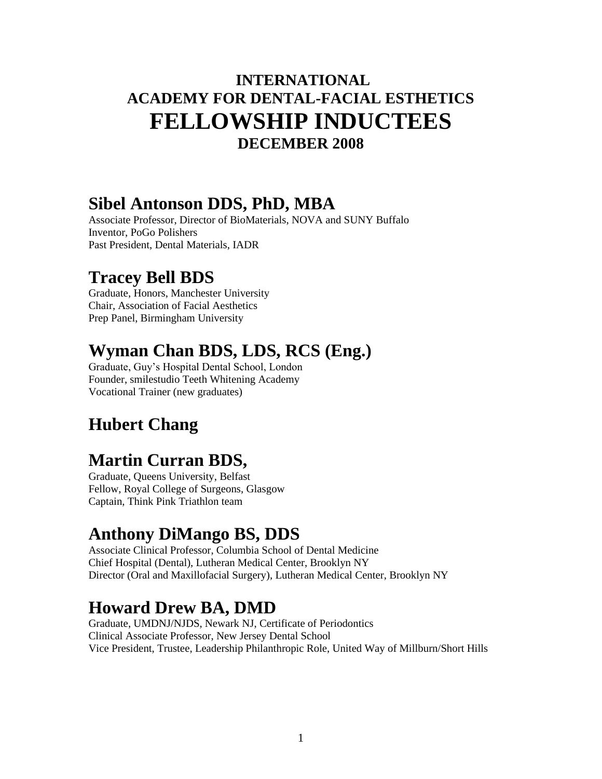#### **INTERNATIONAL ACADEMY FOR DENTAL-FACIAL ESTHETICS FELLOWSHIP INDUCTEES DECEMBER 2008**

#### **Sibel Antonson DDS, PhD, MBA**

Associate Professor, Director of BioMaterials, NOVA and SUNY Buffalo Inventor, PoGo Polishers Past President, Dental Materials, IADR

#### **Tracey Bell BDS**

Graduate, Honors, Manchester University Chair, Association of Facial Aesthetics Prep Panel, Birmingham University

#### **Wyman Chan BDS, LDS, RCS (Eng.)**

Graduate, Guy's Hospital Dental School, London Founder, smilestudio Teeth Whitening Academy Vocational Trainer (new graduates)

## **Hubert Chang**

## **Martin Curran BDS,**

Graduate, Queens University, Belfast Fellow, Royal College of Surgeons, Glasgow Captain, Think Pink Triathlon team

## **Anthony DiMango BS, DDS**

Associate Clinical Professor, Columbia School of Dental Medicine Chief Hospital (Dental), Lutheran Medical Center, Brooklyn NY Director (Oral and Maxillofacial Surgery), Lutheran Medical Center, Brooklyn NY

#### **Howard Drew BA, DMD**

Graduate, UMDNJ/NJDS, Newark NJ, Certificate of Periodontics Clinical Associate Professor, New Jersey Dental School Vice President, Trustee, Leadership Philanthropic Role, United Way of Millburn/Short Hills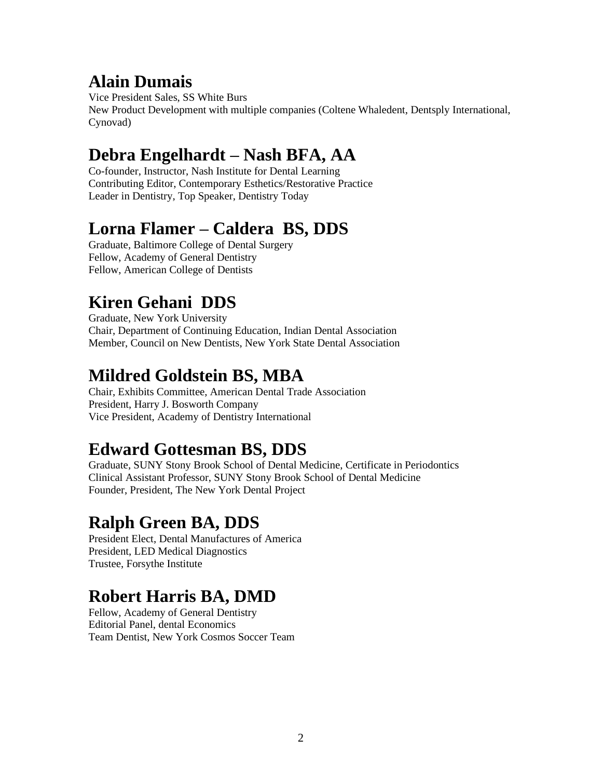#### **Alain Dumais**

Vice President Sales, SS White Burs New Product Development with multiple companies (Coltene Whaledent, Dentsply International, Cynovad)

## **Debra Engelhardt – Nash BFA, AA**

Co-founder, Instructor, Nash Institute for Dental Learning Contributing Editor, Contemporary Esthetics/Restorative Practice Leader in Dentistry, Top Speaker, Dentistry Today

#### **Lorna Flamer – Caldera BS, DDS**

Graduate, Baltimore College of Dental Surgery Fellow, Academy of General Dentistry Fellow, American College of Dentists

# **Kiren Gehani DDS**

Graduate, New York University Chair, Department of Continuing Education, Indian Dental Association Member, Council on New Dentists, New York State Dental Association

### **Mildred Goldstein BS, MBA**

Chair, Exhibits Committee, American Dental Trade Association President, Harry J. Bosworth Company Vice President, Academy of Dentistry International

## **Edward Gottesman BS, DDS**

Graduate, SUNY Stony Brook School of Dental Medicine, Certificate in Periodontics Clinical Assistant Professor, SUNY Stony Brook School of Dental Medicine Founder, President, The New York Dental Project

## **Ralph Green BA, DDS**

President Elect, Dental Manufactures of America President, LED Medical Diagnostics Trustee, Forsythe Institute

# **Robert Harris BA, DMD**

Fellow, Academy of General Dentistry Editorial Panel, dental Economics Team Dentist, New York Cosmos Soccer Team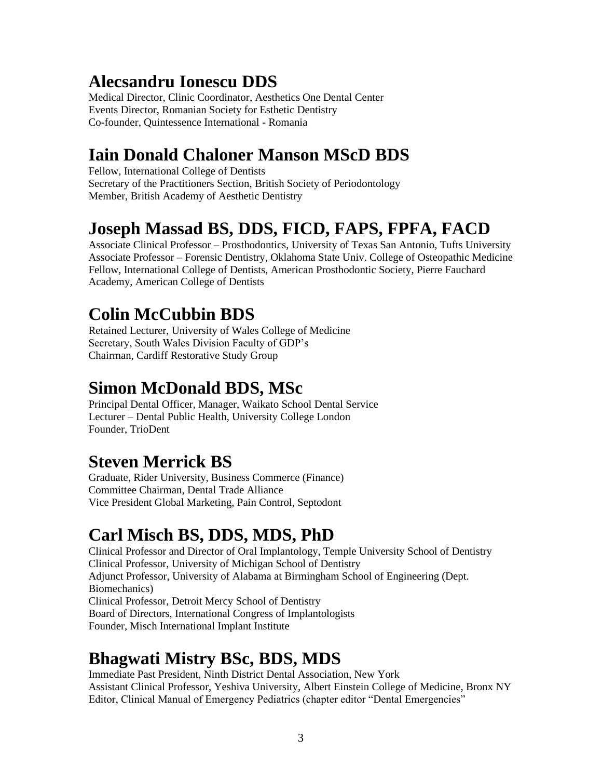## **Alecsandru Ionescu DDS**

Medical Director, Clinic Coordinator, Aesthetics One Dental Center Events Director, Romanian Society for Esthetic Dentistry Co-founder, Quintessence International - Romania

## **Iain Donald Chaloner Manson MScD BDS**

Fellow, International College of Dentists Secretary of the Practitioners Section, British Society of Periodontology Member, British Academy of Aesthetic Dentistry

### **Joseph Massad BS, DDS, FICD, FAPS, FPFA, FACD**

Associate Clinical Professor – Prosthodontics, University of Texas San Antonio, Tufts University Associate Professor – Forensic Dentistry, Oklahoma State Univ. College of Osteopathic Medicine Fellow, International College of Dentists, American Prosthodontic Society, Pierre Fauchard Academy, American College of Dentists

## **Colin McCubbin BDS**

Retained Lecturer, University of Wales College of Medicine Secretary, South Wales Division Faculty of GDP's Chairman, Cardiff Restorative Study Group

### **Simon McDonald BDS, MSc**

Principal Dental Officer, Manager, Waikato School Dental Service Lecturer – Dental Public Health, University College London Founder, TrioDent

## **Steven Merrick BS**

Graduate, Rider University, Business Commerce (Finance) Committee Chairman, Dental Trade Alliance Vice President Global Marketing, Pain Control, Septodont

# **Carl Misch BS, DDS, MDS, PhD**

Clinical Professor and Director of Oral Implantology, Temple University School of Dentistry Clinical Professor, University of Michigan School of Dentistry Adjunct Professor, University of Alabama at Birmingham School of Engineering (Dept. Biomechanics) Clinical Professor, Detroit Mercy School of Dentistry Board of Directors, International Congress of Implantologists Founder, Misch International Implant Institute

#### **Bhagwati Mistry BSc, BDS, MDS**

Immediate Past President, Ninth District Dental Association, New York Assistant Clinical Professor, Yeshiva University, Albert Einstein College of Medicine, Bronx NY Editor, Clinical Manual of Emergency Pediatrics (chapter editor "Dental Emergencies"